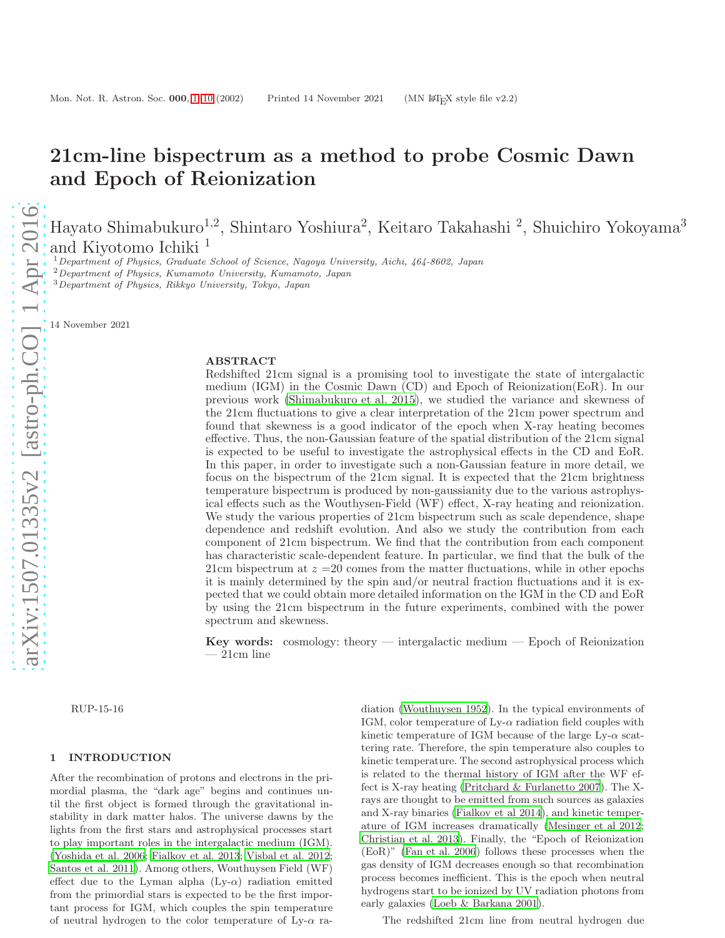# 21cm-line bispectrum as a method to probe Cosmic Dawn and Epoch of Reionization

Hayato Shimabukuro<sup>1,2</sup>, Shintaro Yoshiura<sup>2</sup>, Keitaro Takahashi<sup>2</sup>, Shuichiro Yokoyama<sup>3</sup> and Kiyotomo Ichiki <sup>1</sup>

<sup>1</sup>Department of Physics, Graduate School of Science, Nagoya University, Aichi, 464-8602, Japan

<sup>2</sup>Department of Physics, Kumamoto University, Kumamoto, Japan

<sup>3</sup>Department of Physics, Rikkyo University, Tokyo, Japan

14 November 2021

## ABSTRACT

Redshifted 21cm signal is a promising tool to investigate the state of intergalactic medium (IGM) in the Cosmic Dawn (CD) and Epoch of Reionization(EoR). In our previous work [\(Shimabukuro et al. 2015\)](#page-9-0), we studied the variance and skewness of the 21cm fluctuations to give a clear interpretation of the 21cm power spectrum and found that skewness is a good indicator of the epoch when X-ray heating becomes effective. Thus, the non-Gaussian feature of the spatial distribution of the 21cm signal is expected to be useful to investigate the astrophysical effects in the CD and EoR. In this paper, in order to investigate such a non-Gaussian feature in more detail, we focus on the bispectrum of the 21cm signal. It is expected that the 21cm brightness temperature bispectrum is produced by non-gaussianity due to the various astrophysical effects such as the Wouthysen-Field (WF) effect, X-ray heating and reionization. We study the various properties of 21cm bispectrum such as scale dependence, shape dependence and redshift evolution. And also we study the contribution from each component of 21cm bispectrum. We find that the contribution from each component has characteristic scale-dependent feature. In particular, we find that the bulk of the 21cm bispectrum at  $z = 20$  comes from the matter fluctuations, while in other epochs it is mainly determined by the spin and/or neutral fraction fluctuations and it is expected that we could obtain more detailed information on the IGM in the CD and EoR by using the 21cm bispectrum in the future experiments, combined with the power spectrum and skewness.

**Key words:** cosmology: theory  $-$  intergalactic medium  $-$  Epoch of Reionization — 21cm line

<span id="page-0-0"></span>RUP-15-16

## 1 INTRODUCTION

After the recombination of protons and electrons in the primordial plasma, the "dark age" begins and continues until the first object is formed through the gravitational instability in dark matter halos. The universe dawns by the lights from the first stars and astrophysical processes start to play important roles in the intergalactic medium (IGM). [\(Yoshida et al. 2006](#page-9-1); [Fialkov et al. 2013](#page-8-0); [Visbal et al. 2012;](#page-9-2) [Santos et al. 2011](#page-9-3)). Among others, Wouthuysen Field (WF) effect due to the Lyman alpha (Ly- $\alpha$ ) radiation emitted from the primordial stars is expected to be the first important process for IGM, which couples the spin temperature of neutral hydrogen to the color temperature of  $Ly-\alpha$  radiation [\(Wouthuysen 1952](#page-9-4)). In the typical environments of IGM, color temperature of  $Ly-\alpha$  radiation field couples with kinetic temperature of IGM because of the large  $Ly-\alpha$  scattering rate. Therefore, the spin temperature also couples to kinetic temperature. The second astrophysical process which is related to the thermal history of IGM after the WF effect is X-ray heating [\(Pritchard & Furlanetto 2007](#page-9-5)). The Xrays are thought to be emitted from such sources as galaxies and X-ray binaries [\(Fialkov et al 2014](#page-8-1)), and kinetic temperature of IGM increases dramatically [\(Mesinger et al 2012](#page-9-6); [Christian et al. 2013](#page-8-2)). Finally, the "Epoch of Reionization (EoR)" [\(Fan et al. 2006](#page-8-3)) follows these processes when the gas density of IGM decreases enough so that recombination process becomes inefficient. This is the epoch when neutral hydrogens start to be ionized by UV radiation photons from early galaxies [\(Loeb & Barkana 2001](#page-9-7)).

The redshifted 21cm line from neutral hydrogen due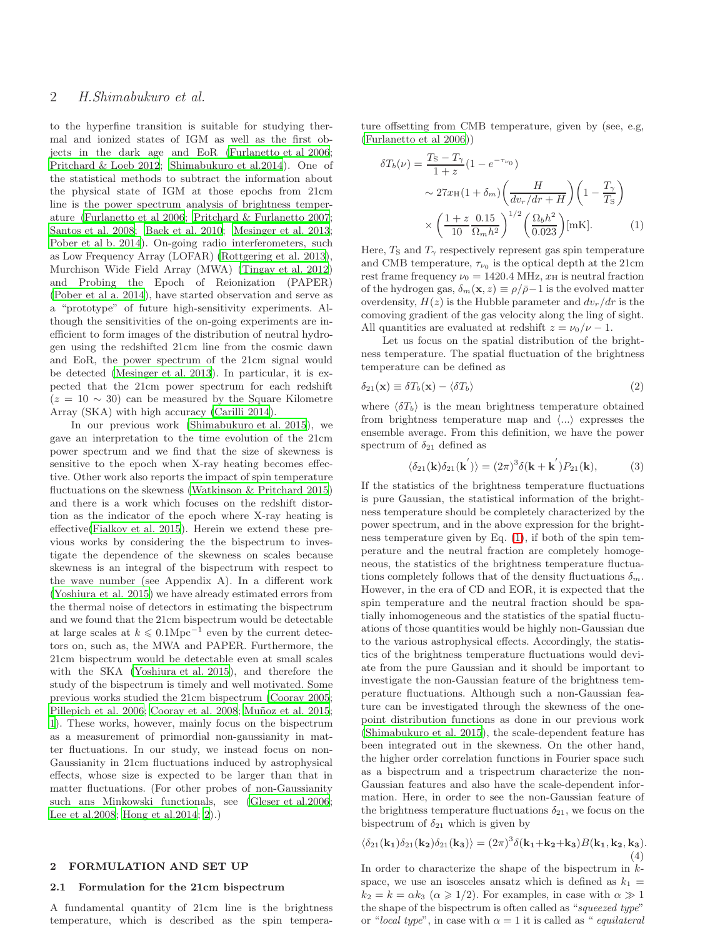# 2 H.Shimabukuro et al.

to the hyperfine transition is suitable for studying thermal and ionized states of IGM as well as the first objects in the dark age and EoR [\(Furlanetto et al 2006;](#page-8-4) [Pritchard & Loeb 2012](#page-9-8); [Shimabukuro et al.2014](#page-9-9)). One of the statistical methods to subtract the information about the physical state of IGM at those epochs from 21cm line is the power spectrum analysis of brightness temperature [\(Furlanetto et al 2006](#page-8-4); [Pritchard & Furlanetto 2007;](#page-9-5) [Santos et al. 2008](#page-9-10); [Baek et al. 2010](#page-8-5); [Mesinger et al. 2013;](#page-9-11) [Pober et al b. 2014](#page-9-12)). On-going radio interferometers, such as Low Frequency Array (LOFAR) [\(Rottgering et al. 2013](#page-9-13)), Murchison Wide Field Array (MWA) [\(Tingay et al. 2012](#page-9-14)) and Probing the Epoch of Reionization (PAPER) [\(Pober et al a. 2014](#page-9-15)), have started observation and serve as a "prototype" of future high-sensitivity experiments. Although the sensitivities of the on-going experiments are inefficient to form images of the distribution of neutral hydrogen using the redshifted 21cm line from the cosmic dawn and EoR, the power spectrum of the 21cm signal would be detected [\(Mesinger et al. 2013\)](#page-9-11). In particular, it is expected that the 21cm power spectrum for each redshift  $(z = 10 \sim 30)$  can be measured by the Square Kilometre Array (SKA) with high accuracy [\(Carilli 2014\)](#page-8-6).

In our previous work [\(Shimabukuro et al. 2015](#page-9-0)), we gave an interpretation to the time evolution of the 21cm power spectrum and we find that the size of skewness is sensitive to the epoch when X-ray heating becomes effective. Other work also reports the impact of spin temperature fluctuations on the skewness [\(Watkinson & Pritchard 2015](#page-9-16)) and there is a work which focuses on the redshift distortion as the indicator of the epoch where X-ray heating is effective[\(Fialkov et al. 2015\)](#page-8-7). Herein we extend these previous works by considering the the bispectrum to investigate the dependence of the skewness on scales because skewness is an integral of the bispectrum with respect to the wave number (see Appendix A). In a different work [\(Yoshiura et al. 2015](#page-9-17)) we have already estimated errors from the thermal noise of detectors in estimating the bispectrum and we found that the 21cm bispectrum would be detectable at large scales at  $k \leq 0.1 \text{Mpc}^{-1}$  even by the current detectors on, such as, the MWA and PAPER. Furthermore, the 21cm bispectrum would be detectable even at small scales with the SKA [\(Yoshiura et al. 2015\)](#page-9-17), and therefore the study of the bispectrum is timely and well motivated. Some previous works studied the 21cm bispectrum [\(Cooray 2005;](#page-8-8) [Pillepich et al. 2006;](#page-9-18) [Cooray et al. 2008;](#page-8-9) Muñoz et al. 2015; [1\)](#page-8-10). These works, however, mainly focus on the bispectrum as a measurement of primordial non-gaussianity in matter fluctuations. In our study, we instead focus on non-Gaussianity in 21cm fluctuations induced by astrophysical effects, whose size is expected to be larger than that in matter fluctuations. (For other probes of non-Gaussianity such ans Minkowski functionals, see [\(Gleser et al.2006](#page-8-11); [Lee et al.2008](#page-8-12); [Hong et al.2014;](#page-8-13) [2](#page-9-20)).)

# 2 FORMULATION AND SET UP

## 2.1 Formulation for the 21cm bispectrum

A fundamental quantity of 21cm line is the brightness temperature, which is described as the spin temperature offsetting from CMB temperature, given by (see, e.g, [\(Furlanetto et al 2006](#page-8-4)))

<span id="page-1-0"></span>
$$
\delta T_b(\nu) = \frac{T_{\rm S} - T_{\gamma}}{1 + z} (1 - e^{-\tau_{\nu_0}})
$$
  
 
$$
\sim 27x_{\rm H} (1 + \delta_m) \left(\frac{H}{dv_r/dr + H}\right) \left(1 - \frac{T_{\gamma}}{T_{\rm S}}\right)
$$
  
 
$$
\times \left(\frac{1 + z}{10} \frac{0.15}{\Omega_m h^2}\right)^{1/2} \left(\frac{\Omega_b h^2}{0.023}\right) [\rm mK].
$$
 (1)

Here,  $T<sub>S</sub>$  and  $T<sub>γ</sub>$  respectively represent gas spin temperature and CMB temperature,  $\tau_{\nu_0}$  is the optical depth at the 21cm rest frame frequency  $\nu_0 = 1420.4 \text{ MHz}, x_H$  is neutral fraction of the hydrogen gas,  $\delta_m(\mathbf{x}, z) \equiv \rho/\bar{\rho} - 1$  is the evolved matter overdensity,  $H(z)$  is the Hubble parameter and  $dv_r/dr$  is the comoving gradient of the gas velocity along the ling of sight. All quantities are evaluated at redshift  $z = \nu_0/\nu - 1$ .

Let us focus on the spatial distribution of the brightness temperature. The spatial fluctuation of the brightness temperature can be defined as

$$
\delta_{21}(\mathbf{x}) \equiv \delta T_b(\mathbf{x}) - \langle \delta T_b \rangle \tag{2}
$$

where  $\langle \delta T_b \rangle$  is the mean brightness temperature obtained from brightness temperature map and  $\langle ... \rangle$  expresses the ensemble average. From this definition, we have the power spectrum of  $\delta_{21}$  defined as

$$
\langle \delta_{21}(\mathbf{k}) \delta_{21}(\mathbf{k'}) \rangle = (2\pi)^3 \delta(\mathbf{k} + \mathbf{k'}) P_{21}(\mathbf{k}), \tag{3}
$$

If the statistics of the brightness temperature fluctuations is pure Gaussian, the statistical information of the brightness temperature should be completely characterized by the power spectrum, and in the above expression for the brightness temperature given by Eq. [\(1\)](#page-1-0), if both of the spin temperature and the neutral fraction are completely homogeneous, the statistics of the brightness temperature fluctuations completely follows that of the density fluctuations  $\delta_m$ . However, in the era of CD and EOR, it is expected that the spin temperature and the neutral fraction should be spatially inhomogeneous and the statistics of the spatial fluctuations of those quantities would be highly non-Gaussian due to the various astrophysical effects. Accordingly, the statistics of the brightness temperature fluctuations would deviate from the pure Gaussian and it should be important to investigate the non-Gaussian feature of the brightness temperature fluctuations. Although such a non-Gaussian feature can be investigated through the skewness of the onepoint distribution functions as done in our previous work [\(Shimabukuro et al. 2015](#page-9-0)), the scale-dependent feature has been integrated out in the skewness. On the other hand, the higher order correlation functions in Fourier space such as a bispectrum and a trispectrum characterize the non-Gaussian features and also have the scale-dependent information. Here, in order to see the non-Gaussian feature of the brightness temperature fluctuations  $\delta_{21}$ , we focus on the bispectrum of  $\delta_{21}$  which is given by

$$
\langle \delta_{21}(\mathbf{k_1}) \delta_{21}(\mathbf{k_2}) \delta_{21}(\mathbf{k_3}) \rangle = (2\pi)^3 \delta(\mathbf{k_1} + \mathbf{k_2} + \mathbf{k_3}) B(\mathbf{k_1}, \mathbf{k_2}, \mathbf{k_3}).
$$
\n(4)

In order to characterize the shape of the bispectrum in  $k$ space, we use an isosceles ansatz which is defined as  $k_1 =$  $k_2 = k = \alpha k_3 \ (\alpha \geq 1/2)$ . For examples, in case with  $\alpha \gg 1$ the shape of the bispectrum is often called as "squeezed type" or "local type", in case with  $\alpha = 1$  it is called as " equilateral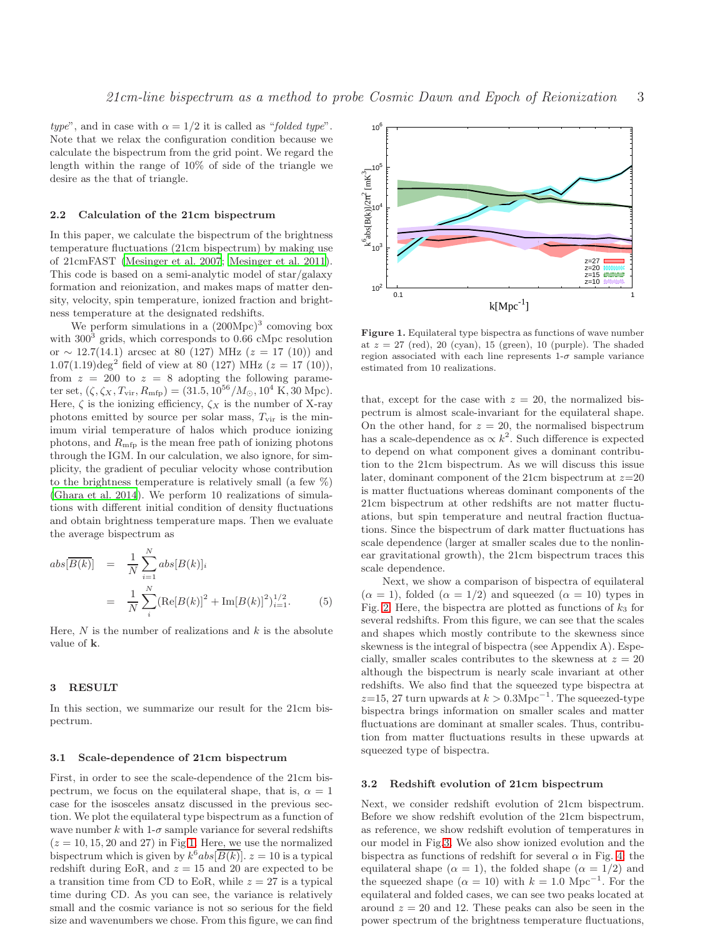type", and in case with  $\alpha = 1/2$  it is called as "folded type". Note that we relax the configuration condition because we calculate the bispectrum from the grid point. We regard the length within the range of 10% of side of the triangle we desire as the that of triangle.

#### 2.2 Calculation of the 21cm bispectrum

In this paper, we calculate the bispectrum of the brightness temperature fluctuations (21cm bispectrum) by making use of 21cmFAST [\(Mesinger et al. 2007](#page-9-21); [Mesinger et al. 2011](#page-9-22)). This code is based on a semi-analytic model of star/galaxy formation and reionization, and makes maps of matter density, velocity, spin temperature, ionized fraction and brightness temperature at the designated redshifts.

We perform simulations in a  $(200 \text{Mpc})^3$  comoving box with  $300^3$  grids, which corresponds to 0.66 cMpc resolution or ∼ 12.7(14.1) arcsec at 80 (127) MHz ( $z = 17$  (10)) and  $1.07(1.19) \text{deg}^2$  field of view at 80 (127) MHz ( $z = 17$  (10)), from  $z = 200$  to  $z = 8$  adopting the following parameter set,  $(\zeta, \zeta_X, T_{\rm vir}, R_{\rm mfp}) = (31.5, 10^{56}/M_{\odot}, 10^4 \text{ K}, 30 \text{ Mpc}).$ Here,  $\zeta$  is the ionizing efficiency,  $\zeta_X$  is the number of X-ray photons emitted by source per solar mass,  $T_{\text{vir}}$  is the minimum virial temperature of halos which produce ionizing photons, and  $R_{\text{mfp}}$  is the mean free path of ionizing photons through the IGM. In our calculation, we also ignore, for simplicity, the gradient of peculiar velocity whose contribution to the brightness temperature is relatively small (a few  $\%$ ) [\(Ghara et al. 2014\)](#page-8-14). We perform 10 realizations of simulations with different initial condition of density fluctuations and obtain brightness temperature maps. Then we evaluate the average bispectrum as

$$
abs[\overline{B(k)}] = \frac{1}{N} \sum_{i=1}^{N} abs[B(k)]_i
$$
  
= 
$$
\frac{1}{N} \sum_{i}^{N} (Re[B(k)]^2 + Im[B(k)]^2)_{i=1}^{1/2}.
$$
 (5)

Here,  $N$  is the number of realizations and  $k$  is the absolute value of k.

#### 3 RESULT

In this section, we summarize our result for the 21cm bispectrum.

#### 3.1 Scale-dependence of 21cm bispectrum

First, in order to see the scale-dependence of the 21cm bispectrum, we focus on the equilateral shape, that is,  $\alpha = 1$ case for the isosceles ansatz discussed in the previous section. We plot the equilateral type bispectrum as a function of wave number k with  $1-\sigma$  sample variance for several redshifts  $(z = 10, 15, 20, \text{ and } 27)$  in Fig[.1.](#page-2-0) Here, we use the normalized bispectrum which is given by  $k^6abs[\overline{B(k)}]$ .  $z=10$  is a typical redshift during EoR, and  $z = 15$  and 20 are expected to be a transition time from CD to EoR, while  $z = 27$  is a typical time during CD. As you can see, the variance is relatively small and the cosmic variance is not so serious for the field size and wavenumbers we chose. From this figure, we can find



<span id="page-2-0"></span>Figure 1. Equilateral type bispectra as functions of wave number at  $z = 27$  (red), 20 (cyan), 15 (green), 10 (purple). The shaded region associated with each line represents  $1-\sigma$  sample variance estimated from 10 realizations.

that, except for the case with  $z = 20$ , the normalized bispectrum is almost scale-invariant for the equilateral shape. On the other hand, for  $z = 20$ , the normalised bispectrum has a scale-dependence as  $\propto k^2$ . Such difference is expected to depend on what component gives a dominant contribution to the 21cm bispectrum. As we will discuss this issue later, dominant component of the 21cm bispectrum at  $z=20$ is matter fluctuations whereas dominant components of the 21cm bispectrum at other redshifts are not matter fluctuations, but spin temperature and neutral fraction fluctuations. Since the bispectrum of dark matter fluctuations has scale dependence (larger at smaller scales due to the nonlinear gravitational growth), the 21cm bispectrum traces this scale dependence.

Next, we show a comparison of bispectra of equilateral  $(\alpha = 1)$ , folded  $(\alpha = 1/2)$  and squeezed  $(\alpha = 10)$  types in Fig. [2.](#page-3-0) Here, the bispectra are plotted as functions of  $k_3$  for several redshifts. From this figure, we can see that the scales and shapes which mostly contribute to the skewness since skewness is the integral of bispectra (see Appendix A). Especially, smaller scales contributes to the skewness at  $z = 20$ although the bispectrum is nearly scale invariant at other redshifts. We also find that the squeezed type bispectra at  $z=15, 27$  turn upwards at  $k > 0.3 \text{Mpc}^{-1}$ . The squeezed-type bispectra brings information on smaller scales and matter fluctuations are dominant at smaller scales. Thus, contribution from matter fluctuations results in these upwards at squeezed type of bispectra.

## 3.2 Redshift evolution of 21cm bispectrum

Next, we consider redshift evolution of 21cm bispectrum. Before we show redshift evolution of the 21cm bispectrum, as reference, we show redshift evolution of temperatures in our model in Fig[.3.](#page-3-1) We also show ionized evolution and the bispectra as functions of redshift for several  $\alpha$  in Fig. [4:](#page-4-0) the equilateral shape ( $\alpha = 1$ ), the folded shape ( $\alpha = 1/2$ ) and the squeezed shape ( $\alpha = 10$ ) with  $k = 1.0$  Mpc<sup>-1</sup>. For the equilateral and folded cases, we can see two peaks located at around  $z = 20$  and 12. These peaks can also be seen in the power spectrum of the brightness temperature fluctuations,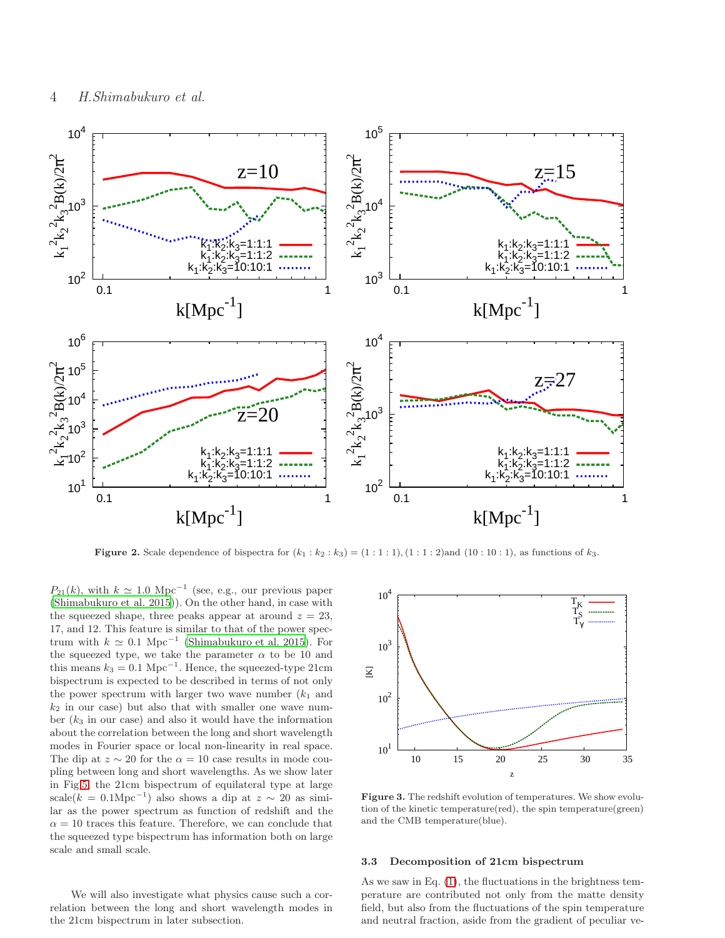

<span id="page-3-0"></span>Figure 2. Scale dependence of bispectra for  $(k_1 : k_2 : k_3) = (1 : 1 : 1), (1 : 1 : 2)$  and  $(10 : 10 : 1)$ , as functions of  $k_3$ .

 $P_{21}(k)$ , with  $k \approx 1.0 \text{ Mpc}^{-1}$  (see, e.g., our previous paper [\(Shimabukuro et al. 2015](#page-9-0))). On the other hand, in case with the squeezed shape, three peaks appear at around  $z = 23$ . 17, and 12. This feature is similar to that of the power spectrum with  $k \simeq 0.1 \text{ Mpc}^{-1}$  [\(Shimabukuro et al. 2015\)](#page-9-0). For the squeezed type, we take the parameter  $\alpha$  to be 10 and this means  $k_3 = 0.1 \text{ Mpc}^{-1}$ . Hence, the squeezed-type 21cm bispectrum is expected to be described in terms of not only the power spectrum with larger two wave number  $(k_1 \text{ and }$  $k_2$  in our case) but also that with smaller one wave number  $(k_3$  in our case) and also it would have the information about the correlation between the long and short wavelength modes in Fourier space or local non-linearity in real space. The dip at  $z \sim 20$  for the  $\alpha = 10$  case results in mode coupling between long and short wavelengths. As we show later in Fig[.5,](#page-5-0) the 21cm bispectrum of equilateral type at large scale( $k = 0.1 \text{Mpc}^{-1}$ ) also shows a dip at  $z \sim 20$  as similar as the power spectrum as function of redshift and the  $\alpha = 10$  traces this feature. Therefore, we can conclude that the squeezed type bispectrum has information both on large scale and small scale.

We will also investigate what physics cause such a correlation between the long and short wavelength modes in the 21cm bispectrum in later subsection.



<span id="page-3-1"></span>Figure 3. The redshift evolution of temperatures. We show evolution of the kinetic temperature(red), the spin temperature(green) and the CMB temperature(blue).

## 3.3 Decomposition of 21cm bispectrum

As we saw in Eq. [\(1\)](#page-1-0), the fluctuations in the brightness temperature are contributed not only from the matte density field, but also from the fluctuations of the spin temperature and neutral fraction, aside from the gradient of peculiar ve-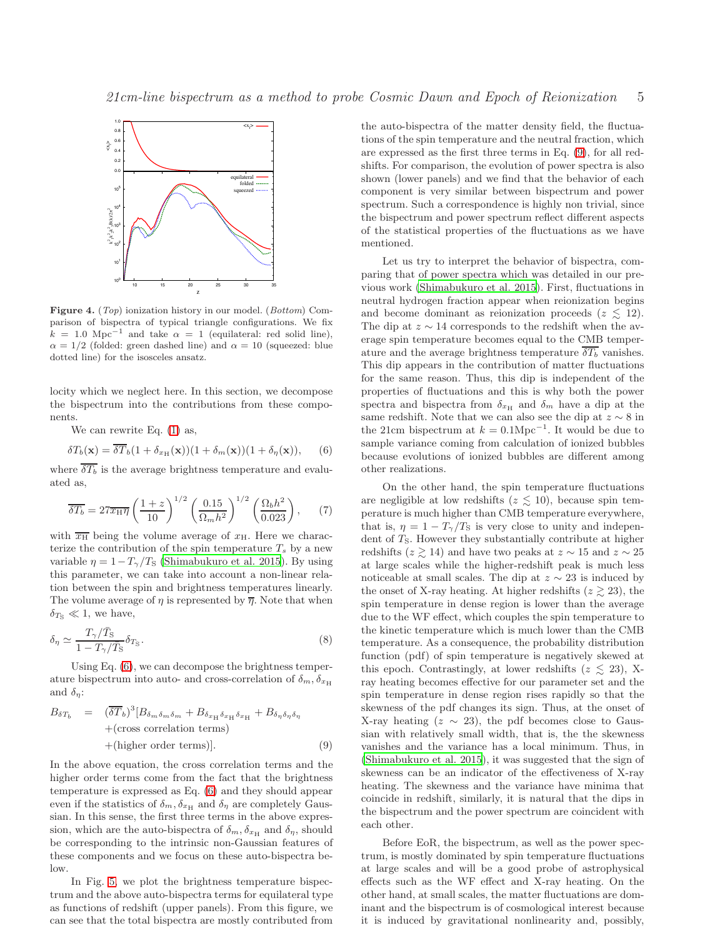

<span id="page-4-0"></span>Figure 4. (Top) ionization history in our model. (Bottom) Comparison of bispectra of typical triangle configurations. We fix  $k = 1.0 \text{ Mpc}^{-1}$  and take  $\alpha = 1$  (equilateral: red solid line),  $\alpha = 1/2$  (folded: green dashed line) and  $\alpha = 10$  (squeezed: blue dotted line) for the isosceles ansatz.

locity which we neglect here. In this section, we decompose the bispectrum into the contributions from these components.

We can rewrite Eq. [\(1\)](#page-1-0) as,

<span id="page-4-1"></span>
$$
\delta T_b(\mathbf{x}) = \overline{\delta T}_b (1 + \delta_{x_H}(\mathbf{x})) (1 + \delta_m(\mathbf{x})) (1 + \delta_\eta(\mathbf{x})), \quad (6)
$$

where  $\overline{\delta T_b}$  is the average brightness temperature and evaluated as,

$$
\overline{\delta T_b} = 27\overline{x}_{\rm H} \eta \left(\frac{1+z}{10}\right)^{1/2} \left(\frac{0.15}{\Omega_m h^2}\right)^{1/2} \left(\frac{\Omega_b h^2}{0.023}\right),\tag{7}
$$

with  $\overline{x}_{\text{H}}$  being the volume average of  $x_{\text{H}}$ . Here we characterize the contribution of the spin temperature  $T_s$  by a new variable  $\eta = 1 - T_{\gamma}/T_{\rm S}$  [\(Shimabukuro et al. 2015](#page-9-0)). By using this parameter, we can take into account a non-linear relation between the spin and brightness temperatures linearly. The volume average of  $\eta$  is represented by  $\overline{\eta}$ . Note that when  $\delta_{T_{\rm S}} \ll 1$ , we have,

$$
\delta_{\eta} \simeq \frac{T_{\gamma}/\bar{T}_{\rm S}}{1 - T_{\gamma}/\bar{T}_{\rm S}} \delta_{T_{\rm S}}.\tag{8}
$$

Using Eq. [\(6\)](#page-4-1), we can decompose the brightness temperature bispectrum into auto- and cross-correlation of  $\delta_m, \delta_{x_H}$ and  $\delta_n$ :

<span id="page-4-2"></span>
$$
B_{\delta T_b} = (\overline{\delta T}_b)^3 [B_{\delta_m \delta_m \delta_m} + B_{\delta_{x_H} \delta_{x_H}} + B_{\delta_\eta \delta_\eta \delta_\eta} + (\text{cross correlation terms}) + (\text{higher order terms})]. \tag{9}
$$

In the above equation, the cross correlation terms and the higher order terms come from the fact that the brightness temperature is expressed as Eq. [\(6\)](#page-4-1) and they should appear even if the statistics of  $\delta_m$ ,  $\delta_{x_H}$  and  $\delta_{\eta}$  are completely Gaussian. In this sense, the first three terms in the above expression, which are the auto-bispectra of  $\delta_m$ ,  $\delta_{x_H}$  and  $\delta_{\eta}$ , should be corresponding to the intrinsic non-Gaussian features of these components and we focus on these auto-bispectra below.

In Fig. [5,](#page-5-0) we plot the brightness temperature bispectrum and the above auto-bispectra terms for equilateral type as functions of redshift (upper panels). From this figure, we can see that the total bispectra are mostly contributed from

the auto-bispectra of the matter density field, the fluctuations of the spin temperature and the neutral fraction, which are expressed as the first three terms in Eq. [\(9\)](#page-4-2), for all redshifts. For comparison, the evolution of power spectra is also shown (lower panels) and we find that the behavior of each component is very similar between bispectrum and power spectrum. Such a correspondence is highly non trivial, since the bispectrum and power spectrum reflect different aspects of the statistical properties of the fluctuations as we have mentioned.

Let us try to interpret the behavior of bispectra, comparing that of power spectra which was detailed in our previous work [\(Shimabukuro et al. 2015\)](#page-9-0). First, fluctuations in neutral hydrogen fraction appear when reionization begins and become dominant as reionization proceeds ( $z \leq 12$ ). The dip at  $z \sim 14$  corresponds to the redshift when the average spin temperature becomes equal to the CMB temperature and the average brightness temperature  $\delta T_b$  vanishes. This dip appears in the contribution of matter fluctuations for the same reason. Thus, this dip is independent of the properties of fluctuations and this is why both the power spectra and bispectra from  $\delta_{x_H}$  and  $\delta_m$  have a dip at the same redshift. Note that we can also see the dip at  $z \sim 8$  in the 21cm bispectrum at  $k = 0.1 \text{Mpc}^{-1}$ . It would be due to sample variance coming from calculation of ionized bubbles because evolutions of ionized bubbles are different among other realizations.

On the other hand, the spin temperature fluctuations are negligible at low redshifts ( $z \lesssim 10$ ), because spin temperature is much higher than CMB temperature everywhere, that is,  $\eta = 1 - T_{\gamma}/T_{\rm S}$  is very close to unity and independent of  $T<sub>S</sub>$ . However they substantially contribute at higher redshifts ( $z \ge 14$ ) and have two peaks at  $z \sim 15$  and  $z \sim 25$ at large scales while the higher-redshift peak is much less noticeable at small scales. The dip at  $z \sim 23$  is induced by the onset of X-ray heating. At higher redshifts  $(z \ge 23)$ , the spin temperature in dense region is lower than the average due to the WF effect, which couples the spin temperature to the kinetic temperature which is much lower than the CMB temperature. As a consequence, the probability distribution function (pdf) of spin temperature is negatively skewed at this epoch. Contrastingly, at lower redshifts ( $z \lesssim 23$ ), Xray heating becomes effective for our parameter set and the spin temperature in dense region rises rapidly so that the skewness of the pdf changes its sign. Thus, at the onset of X-ray heating  $(z \sim 23)$ , the pdf becomes close to Gaussian with relatively small width, that is, the the skewness vanishes and the variance has a local minimum. Thus, in [\(Shimabukuro et al. 2015](#page-9-0)), it was suggested that the sign of skewness can be an indicator of the effectiveness of X-ray heating. The skewness and the variance have minima that coincide in redshift, similarly, it is natural that the dips in the bispectrum and the power spectrum are coincident with each other.

Before EoR, the bispectrum, as well as the power spectrum, is mostly dominated by spin temperature fluctuations at large scales and will be a good probe of astrophysical effects such as the WF effect and X-ray heating. On the other hand, at small scales, the matter fluctuations are dominant and the bispectrum is of cosmological interest because it is induced by gravitational nonlinearity and, possibly,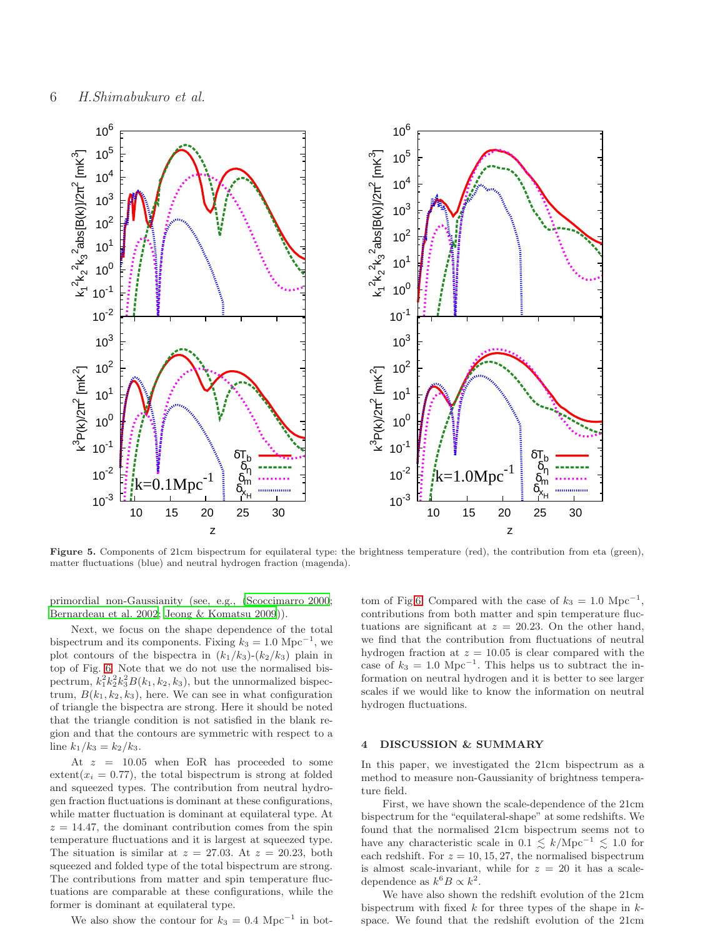

<span id="page-5-0"></span>Figure 5. Components of 21cm bispectrum for equilateral type: the brightness temperature (red), the contribution from eta (green), matter fluctuations (blue) and neutral hydrogen fraction (magenda).

primordial non-Gaussianity (see, e.g., [\(Scoccimarro 2000;](#page-9-23) [Bernardeau et al. 2002](#page-8-15); [Jeong & Komatsu 2009\)](#page-8-16)).

Next, we focus on the shape dependence of the total bispectrum and its components. Fixing  $k_3 = 1.0 \text{ Mpc}^{-1}$ , we plot contours of the bispectra in  $(k_1/k_3)-(k_2/k_3)$  plain in top of Fig. [6.](#page-6-0) Note that we do not use the normalised bispectrum,  $k_1^2 k_2^2 k_3^2 B(k_1, k_2, k_3)$ , but the unnormalized bispectrum,  $B(k_1, k_2, k_3)$ , here. We can see in what configuration of triangle the bispectra are strong. Here it should be noted that the triangle condition is not satisfied in the blank region and that the contours are symmetric with respect to a line  $k_1/k_3 = k_2/k_3$ .

At  $z = 10.05$  when EoR has proceeded to some extent( $x<sub>i</sub> = 0.77$ ), the total bispectrum is strong at folded and squeezed types. The contribution from neutral hydrogen fraction fluctuations is dominant at these configurations, while matter fluctuation is dominant at equilateral type. At  $z = 14.47$ , the dominant contribution comes from the spin temperature fluctuations and it is largest at squeezed type. The situation is similar at  $z = 27.03$ . At  $z = 20.23$ , both squeezed and folded type of the total bispectrum are strong. The contributions from matter and spin temperature fluctuations are comparable at these configurations, while the former is dominant at equilateral type.

We also show the contour for  $k_3 = 0.4 \text{ Mpc}^{-1}$  in bot-

tom of Fig[.6.](#page-6-0) Compared with the case of  $k_3 = 1.0 \text{ Mpc}^{-1}$ , contributions from both matter and spin temperature fluctuations are significant at  $z = 20.23$ . On the other hand, we find that the contribution from fluctuations of neutral hydrogen fraction at  $z = 10.05$  is clear compared with the case of  $k_3 = 1.0 \text{ Mpc}^{-1}$ . This helps us to subtract the information on neutral hydrogen and it is better to see larger scales if we would like to know the information on neutral hydrogen fluctuations.

# 4 DISCUSSION & SUMMARY

In this paper, we investigated the 21cm bispectrum as a method to measure non-Gaussianity of brightness temperature field.

First, we have shown the scale-dependence of the 21cm bispectrum for the "equilateral-shape" at some redshifts. We found that the normalised 21cm bispectrum seems not to have any characteristic scale in  $0.1 \leq k/\text{Mpc}^{-1} \leq 1.0$  for each redshift. For  $z = 10, 15, 27$ , the normalised bispectrum is almost scale-invariant, while for  $z = 20$  it has a scaledependence as  $k^6B \propto k^2$ .

We have also shown the redshift evolution of the 21cm bispectrum with fixed  $k$  for three types of the shape in  $k$ space. We found that the redshift evolution of the 21cm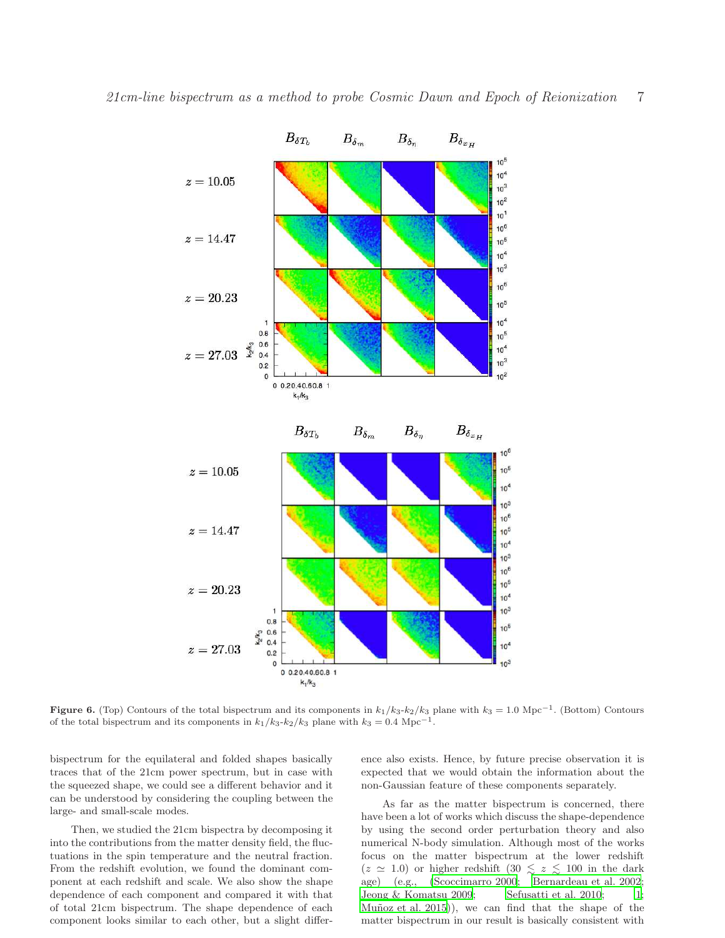

<span id="page-6-0"></span>**Figure 6.** (Top) Contours of the total bispectrum and its components in  $k_1/k_3-k_2/k_3$  plane with  $k_3 = 1.0 \text{ Mpc}^{-1}$ . (Bottom) Contours of the total bispectrum and its components in  $k_1/k_3-k_2/k_3$  plane with  $k_3 = 0.4$  Mpc<sup>-1</sup>.

bispectrum for the equilateral and folded shapes basically traces that of the 21cm power spectrum, but in case with the squeezed shape, we could see a different behavior and it can be understood by considering the coupling between the large- and small-scale modes.

Then, we studied the 21cm bispectra by decomposing it into the contributions from the matter density field, the fluctuations in the spin temperature and the neutral fraction. From the redshift evolution, we found the dominant component at each redshift and scale. We also show the shape dependence of each component and compared it with that of total 21cm bispectrum. The shape dependence of each component looks similar to each other, but a slight difference also exists. Hence, by future precise observation it is expected that we would obtain the information about the non-Gaussian feature of these components separately.

As far as the matter bispectrum is concerned, there have been a lot of works which discuss the shape-dependence by using the second order perturbation theory and also numerical N-body simulation. Although most of the works focus on the matter bispectrum at the lower redshift  $(z \simeq 1.0)$  or higher redshift  $(30 \lesssim z \lesssim 100$  in the dark age) (e.g., [\(Scoccimarro 2000](#page-9-23); [Bernardeau et al. 2002](#page-8-15); [Jeong & Komatsu 2009](#page-8-16); [Sefusatti et al. 2010](#page-9-24); [1;](#page-8-10) Muñoz et al. 2015)), we can find that the shape of the matter bispectrum in our result is basically consistent with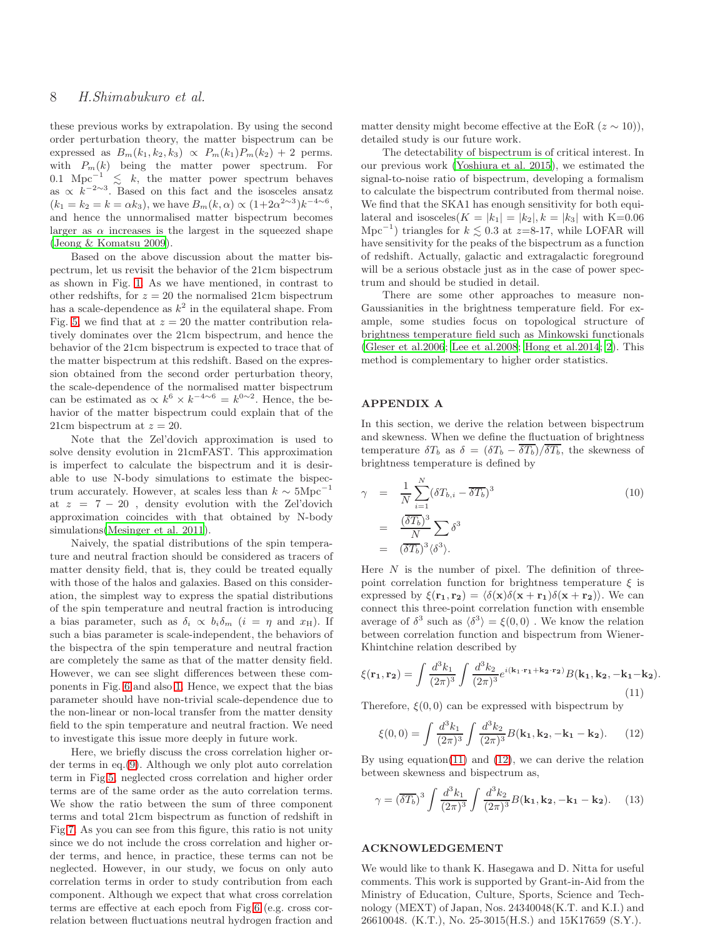these previous works by extrapolation. By using the second order perturbation theory, the matter bispectrum can be expressed as  $B_m(k_1, k_2, k_3) \propto P_m(k_1)P_m(k_2) + 2$  perms. with  $P_m(k)$  being the matter power spectrum. For 0.1 Mpc<sup>-1</sup>  $\leq k$ , the matter power spectrum behaves as  $\propto k^{-2\sim 3}$ . Based on this fact and the isosceles ansatz  $(k_1 = k_2 = k = \alpha k_3)$ , we have  $B_m(k, \alpha) \propto (1 + 2\alpha^{2\alpha} k)^{k-4\alpha}$ , and hence the unnormalised matter bispectrum becomes larger as  $\alpha$  increases is the largest in the squeezed shape [\(Jeong & Komatsu 2009](#page-8-16)).

Based on the above discussion about the matter bispectrum, let us revisit the behavior of the 21cm bispectrum as shown in Fig. [1.](#page-2-0) As we have mentioned, in contrast to other redshifts, for  $z = 20$  the normalised 21cm bispectrum has a scale-dependence as  $k^2$  in the equilateral shape. From Fig. [5,](#page-5-0) we find that at  $z = 20$  the matter contribution relatively dominates over the 21cm bispectrum, and hence the behavior of the 21cm bispectrum is expected to trace that of the matter bispectrum at this redshift. Based on the expression obtained from the second order perturbation theory, the scale-dependence of the normalised matter bispectrum can be estimated as  $\propto k^6 \times k^{-4 \sim 6} = k^{0 \sim 2}$ . Hence, the behavior of the matter bispectrum could explain that of the 21cm bispectrum at  $z = 20$ .

Note that the Zel'dovich approximation is used to solve density evolution in 21cmFAST. This approximation is imperfect to calculate the bispectrum and it is desirable to use N-body simulations to estimate the bispectrum accurately. However, at scales less than  $k \sim 5 \text{Mpc}^{-1}$ at  $z = 7 - 20$ , density evolution with the Zel'dovich approximation coincides with that obtained by N-body simulations[\(Mesinger et al. 2011](#page-9-22)).

Naively, the spatial distributions of the spin temperature and neutral fraction should be considered as tracers of matter density field, that is, they could be treated equally with those of the halos and galaxies. Based on this consideration, the simplest way to express the spatial distributions of the spin temperature and neutral fraction is introducing a bias parameter, such as  $\delta_i \propto b_i \delta_m$  (i =  $\eta$  and  $x_H$ ). If such a bias parameter is scale-independent, the behaviors of the bispectra of the spin temperature and neutral fraction are completely the same as that of the matter density field. However, we can see slight differences between these components in Fig. [6](#page-6-0) and also [1.](#page-2-0) Hence, we expect that the bias parameter should have non-trivial scale-dependence due to the non-linear or non-local transfer from the matter density field to the spin temperature and neutral fraction. We need to investigate this issue more deeply in future work.

Here, we briefly discuss the cross correlation higher order terms in eq.[\(9\)](#page-4-2). Although we only plot auto correlation term in Fig[.5,](#page-5-0) neglected cross correlation and higher order terms are of the same order as the auto correlation terms. We show the ratio between the sum of three component terms and total 21cm bispectrum as function of redshift in Fig[.7.](#page-8-17) As you can see from this figure, this ratio is not unity since we do not include the cross correlation and higher order terms, and hence, in practice, these terms can not be neglected. However, in our study, we focus on only auto correlation terms in order to study contribution from each component. Although we expect that what cross correlation terms are effective at each epoch from Fig[.6](#page-6-0) (e.g. cross correlation between fluctuations neutral hydrogen fraction and matter density might become effective at the EoR  $(z \sim 10)$ ), detailed study is our future work.

The detectability of bispectrum is of critical interest. In our previous work [\(Yoshiura et al. 2015](#page-9-17)), we estimated the signal-to-noise ratio of bispectrum, developing a formalism to calculate the bispectrum contributed from thermal noise. We find that the SKA1 has enough sensitivity for both equilateral and isosceles( $K = |k_1| = |k_2|, k = |k_3|$  with K=0.06 Mpc<sup>-1</sup>) triangles for  $k \leq 0.3$  at  $z=8-17$ , while LOFAR will have sensitivity for the peaks of the bispectrum as a function of redshift. Actually, galactic and extragalactic foreground will be a serious obstacle just as in the case of power spectrum and should be studied in detail.

There are some other approaches to measure non-Gaussianities in the brightness temperature field. For example, some studies focus on topological structure of brightness temperature field such as Minkowski functionals [\(Gleser et al.2006;](#page-8-11) [Lee et al.2008](#page-8-12); [Hong et al.2014](#page-8-13); [2\)](#page-9-20). This method is complementary to higher order statistics.

# APPENDIX A

In this section, we derive the relation between bispectrum and skewness. When we define the fluctuation of brightness temperature  $\delta T_b$  as  $\delta = (\delta T_b - \overline{\delta T_b})/\overline{\delta T_b}$ , the skewness of brightness temperature is defined by

$$
\gamma = \frac{1}{N} \sum_{i=1}^{N} (\delta T_{b,i} - \overline{\delta T_b})^3
$$
\n
$$
= \frac{(\overline{\delta T_b})^3}{N} \sum_{i=1}^{N} \delta^3
$$
\n
$$
= (\overline{\delta T_b})^3 \langle \delta^3 \rangle.
$$
\n(10)

Here  $N$  is the number of pixel. The definition of threepoint correlation function for brightness temperature  $\xi$  is expressed by  $\xi(\mathbf{r_1}, \mathbf{r_2}) = \langle \delta(\mathbf{x})\delta(\mathbf{x} + \mathbf{r_1})\delta(\mathbf{x} + \mathbf{r_2})\rangle$ . We can connect this three-point correlation function with ensemble average of  $\delta^3$  such as  $\langle \delta^3 \rangle = \xi(0,0)$ . We know the relation between correlation function and bispectrum from Wiener-Khintchine relation described by

<span id="page-7-0"></span>
$$
\xi(\mathbf{r_1}, \mathbf{r_2}) = \int \frac{d^3 k_1}{(2\pi)^3} \int \frac{d^3 k_2}{(2\pi)^3} e^{i(\mathbf{k_1} \cdot \mathbf{r_1} + \mathbf{k_2} \cdot \mathbf{r_2})} B(\mathbf{k_1}, \mathbf{k_2}, -\mathbf{k_1} - \mathbf{k_2}).
$$
\n(11)

Therefore,  $\xi(0,0)$  can be expressed with bispectrum by

<span id="page-7-1"></span>
$$
\xi(0,0) = \int \frac{d^3 k_1}{(2\pi)^3} \int \frac{d^3 k_2}{(2\pi)^3} B(\mathbf{k_1}, \mathbf{k_2}, -\mathbf{k_1} - \mathbf{k_2}). \tag{12}
$$

By using equation[\(11\)](#page-7-0) and [\(12\)](#page-7-1), we can derive the relation between skewness and bispectrum as,

$$
\gamma = (\overline{\delta T_b})^3 \int \frac{d^3 k_1}{(2\pi)^3} \int \frac{d^3 k_2}{(2\pi)^3} B(\mathbf{k_1}, \mathbf{k_2}, -\mathbf{k_1} - \mathbf{k_2}). \tag{13}
$$

# ACKNOWLEDGEMENT

We would like to thank K. Hasegawa and D. Nitta for useful comments. This work is supported by Grant-in-Aid from the Ministry of Education, Culture, Sports, Science and Technology (MEXT) of Japan, Nos. 24340048(K.T. and K.I.) and 26610048. (K.T.), No. 25-3015(H.S.) and 15K17659 (S.Y.).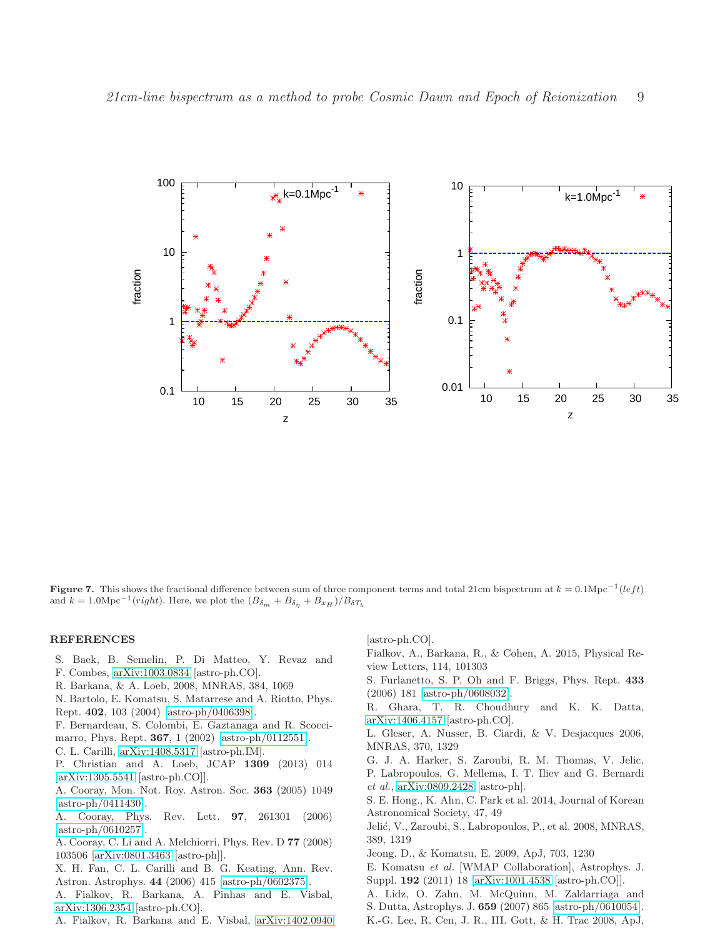

<span id="page-8-17"></span>**Figure 7.** This shows the fractional difference between sum of three component terms and total 21cm bispectrum at  $k = 0.1 \text{Mpc}^{-1} (left)$ and  $k = 1.0 \text{Mpc}^{-1}(right)$ . Here, we plot the  $(B_{\delta_m} + B_{\delta_{\eta}} + B_{x_H})/B_{\delta T_b}$ 

#### REFERENCES

- <span id="page-8-5"></span>S. Baek, B. Semelin, P. Di Matteo, Y. Revaz and
- F. Combes, [arXiv:1003.0834](http://arxiv.org/abs/1003.0834) [astro-ph.CO].
- R. Barkana, & A. Loeb, 2008, MNRAS, 384, 1069
- N. Bartolo, E. Komatsu, S. Matarrese and A. Riotto, Phys. Rept. 402, 103 (2004) [\[astro-ph/0406398\]](http://arxiv.org/abs/astro-ph/0406398).
- <span id="page-8-15"></span>F. Bernardeau, S. Colombi, E. Gaztanaga and R. Scoccimarro, Phys. Rept. 367, 1 (2002) [\[astro-ph/0112551\]](http://arxiv.org/abs/astro-ph/0112551).
- <span id="page-8-6"></span>C. L. Carilli, [arXiv:1408.5317](http://arxiv.org/abs/1408.5317) [astro-ph.IM].
- <span id="page-8-2"></span>P. Christian and A. Loeb, JCAP 1309 (2013) 014 [\[arXiv:1305.5541](http://arxiv.org/abs/1305.5541) [astro-ph.CO]].
- <span id="page-8-8"></span>A. Cooray, Mon. Not. Roy. Astron. Soc. 363 (2005) 1049 [\[astro-ph/0411430\]](http://arxiv.org/abs/astro-ph/0411430).
- <span id="page-8-10"></span>A. Cooray, Phys. Rev. Lett. 97, 261301 (2006) [\[astro-ph/0610257\]](http://arxiv.org/abs/astro-ph/0610257).
- <span id="page-8-9"></span>A. Cooray, C. Li and A. Melchiorri, Phys. Rev. D 77 (2008) 103506 [\[arXiv:0801.3463](http://arxiv.org/abs/0801.3463) [astro-ph]].
- <span id="page-8-3"></span>X. H. Fan, C. L. Carilli and B. G. Keating, Ann. Rev. Astron. Astrophys. 44 (2006) 415 [\[astro-ph/0602375\]](http://arxiv.org/abs/astro-ph/0602375).
- <span id="page-8-0"></span>A. Fialkov, R. Barkana, A. Pinhas and E. Visbal, [arXiv:1306.2354](http://arxiv.org/abs/1306.2354) [astro-ph.CO].
- <span id="page-8-1"></span>A. Fialkov, R. Barkana and E. Visbal, [arXiv:1402.0940](http://arxiv.org/abs/1402.0940)

[astro-ph.CO].

- <span id="page-8-7"></span>Fialkov, A., Barkana, R., & Cohen, A. 2015, Physical Review Letters, 114, 101303
- <span id="page-8-4"></span>S. Furlanetto, S. P. Oh and F. Briggs, Phys. Rept. 433 (2006) 181 [\[astro-ph/0608032\]](http://arxiv.org/abs/astro-ph/0608032).
- <span id="page-8-14"></span>R. Ghara, T. R. Choudhury and K. K. Datta, [arXiv:1406.4157](http://arxiv.org/abs/1406.4157) [astro-ph.CO].
- <span id="page-8-11"></span>L. Gleser, A. Nusser, B. Ciardi, & V. Desjacques 2006, MNRAS, 370, 1329
- G. J. A. Harker, S. Zaroubi, R. M. Thomas, V. Jelic, P. Labropoulos, G. Mellema, I. T. Iliev and G. Bernardi et al., [arXiv:0809.2428](http://arxiv.org/abs/0809.2428) [astro-ph].
- <span id="page-8-13"></span>S. E. Hong., K. Ahn, C. Park et al. 2014, Journal of Korean Astronomical Society, 47, 49
- Jelić, V., Zaroubi, S., Labropoulos, P., et al. 2008, MNRAS, 389, 1319
- <span id="page-8-16"></span>Jeong, D., & Komatsu, E. 2009, ApJ, 703, 1230
- E. Komatsu et al. [WMAP Collaboration], Astrophys. J. Suppl. 192 (2011) 18 [\[arXiv:1001.4538](http://arxiv.org/abs/1001.4538) [astro-ph.CO]].
- A. Lidz, O. Zahn, M. McQuinn, M. Zaldarriaga and
- S. Dutta, Astrophys. J. 659 (2007) 865 [\[astro-ph/0610054\]](http://arxiv.org/abs/astro-ph/0610054).
- <span id="page-8-12"></span>K.-G. Lee, R. Cen, J. R., III. Gott, & H. Trac 2008, ApJ,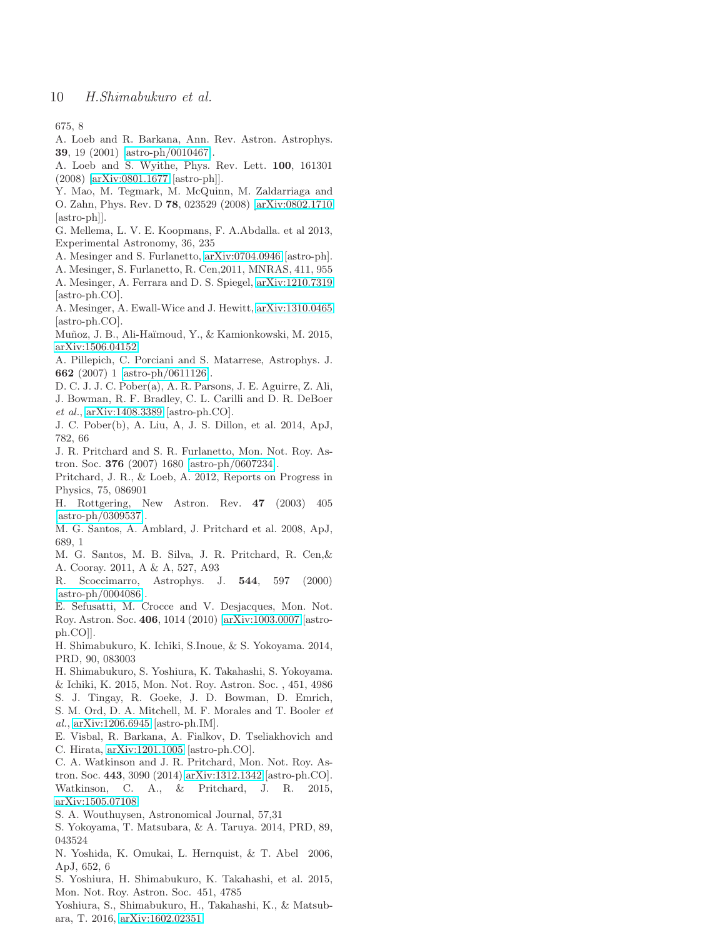675, 8

<span id="page-9-7"></span>A. Loeb and R. Barkana, Ann. Rev. Astron. Astrophys. 39, 19 (2001) [\[astro-ph/0010467\]](http://arxiv.org/abs/astro-ph/0010467).

A. Loeb and S. Wyithe, Phys. Rev. Lett. 100, 161301 (2008) [\[arXiv:0801.1677](http://arxiv.org/abs/0801.1677) [astro-ph]].

- Y. Mao, M. Tegmark, M. McQuinn, M. Zaldarriaga and O. Zahn, Phys. Rev. D 78, 023529 (2008) [\[arXiv:0802.1710](http://arxiv.org/abs/0802.1710) [astro-ph]].
- G. Mellema, L. V. E. Koopmans, F. A.Abdalla. et al 2013, Experimental Astronomy, 36, 235

<span id="page-9-21"></span>A. Mesinger and S. Furlanetto, [arXiv:0704.0946](http://arxiv.org/abs/0704.0946) [astro-ph].

- <span id="page-9-22"></span>A. Mesinger, S. Furlanetto, R. Cen,2011, MNRAS, 411, 955
- <span id="page-9-6"></span>A. Mesinger, A. Ferrara and D. S. Spiegel, [arXiv:1210.7319](http://arxiv.org/abs/1210.7319) [astro-ph.CO].

<span id="page-9-11"></span>A. Mesinger, A. Ewall-Wice and J. Hewitt, [arXiv:1310.0465](http://arxiv.org/abs/1310.0465) [astro-ph.CO].

<span id="page-9-19"></span>Muñoz, J. B., Ali-Haïmoud, Y., & Kamionkowski, M. 2015, [arXiv:1506.04152](http://arxiv.org/abs/1506.04152)

<span id="page-9-18"></span>A. Pillepich, C. Porciani and S. Matarrese, Astrophys. J. 662 (2007) 1 [\[astro-ph/0611126\]](http://arxiv.org/abs/astro-ph/0611126).

<span id="page-9-15"></span>D. C. J. J. C. Pober(a), A. R. Parsons, J. E. Aguirre, Z. Ali, J. Bowman, R. F. Bradley, C. L. Carilli and D. R. DeBoer et al., [arXiv:1408.3389](http://arxiv.org/abs/1408.3389) [astro-ph.CO].

<span id="page-9-12"></span>J. C. Pober(b), A. Liu, A, J. S. Dillon, et al. 2014, ApJ, 782, 66

<span id="page-9-5"></span>J. R. Pritchard and S. R. Furlanetto, Mon. Not. Roy. Astron. Soc. 376 (2007) 1680 [\[astro-ph/0607234\]](http://arxiv.org/abs/astro-ph/0607234).

<span id="page-9-8"></span>Pritchard, J. R., & Loeb, A. 2012, Reports on Progress in Physics, 75, 086901

<span id="page-9-13"></span>H. Rottgering, New Astron. Rev. 47 (2003) 405 [\[astro-ph/0309537\]](http://arxiv.org/abs/astro-ph/0309537).

<span id="page-9-10"></span>M. G. Santos, A. Amblard, J. Pritchard et al. 2008, ApJ, 689, 1

<span id="page-9-3"></span>M. G. Santos, M. B. Silva, J. R. Pritchard, R. Cen,& A. Cooray. 2011, A & A, 527, A93

<span id="page-9-23"></span>R. Scoccimarro, Astrophys. J. 544, 597 (2000) [\[astro-ph/0004086\]](http://arxiv.org/abs/astro-ph/0004086).

<span id="page-9-24"></span>E. Sefusatti, M. Crocce and V. Desjacques, Mon. Not. Roy. Astron. Soc. 406, 1014 (2010) [\[arXiv:1003.0007](http://arxiv.org/abs/1003.0007) [astroph.CO]].

<span id="page-9-9"></span>H. Shimabukuro, K. Ichiki, S.Inoue, & S. Yokoyama. 2014, PRD, 90, 083003

<span id="page-9-0"></span>H. Shimabukuro, S. Yoshiura, K. Takahashi, S. Yokoyama. & Ichiki, K. 2015, Mon. Not. Roy. Astron. Soc. , 451, 4986

<span id="page-9-14"></span>S. J. Tingay, R. Goeke, J. D. Bowman, D. Emrich,

S. M. Ord, D. A. Mitchell, M. F. Morales and T. Booler et al., [arXiv:1206.6945](http://arxiv.org/abs/1206.6945) [astro-ph.IM].

<span id="page-9-2"></span>E. Visbal, R. Barkana, A. Fialkov, D. Tseliakhovich and C. Hirata, [arXiv:1201.1005](http://arxiv.org/abs/1201.1005) [astro-ph.CO].

<span id="page-9-16"></span>C. A. Watkinson and J. R. Pritchard, Mon. Not. Roy. Astron. Soc. 443, 3090 (2014) [arXiv:1312.1342](http://arxiv.org/abs/1312.1342) [astro-ph.CO]. Watkinson, C. A., & Pritchard, J. R. 2015, [arXiv:1505.07108](http://arxiv.org/abs/1505.07108)

<span id="page-9-4"></span>S. A. Wouthuysen, Astronomical Journal, 57,31

S. Yokoyama, T. Matsubara, & A. Taruya. 2014, PRD, 89, 043524

<span id="page-9-1"></span>N. Yoshida, K. Omukai, L. Hernquist, & T. Abel 2006, ApJ, 652, 6

<span id="page-9-17"></span>S. Yoshiura, H. Shimabukuro, K. Takahashi, et al. 2015, Mon. Not. Roy. Astron. Soc. 451, 4785

<span id="page-9-20"></span>Yoshiura, S., Shimabukuro, H., Takahashi, K., & Matsubara, T. 2016, [arXiv:1602.02351](http://arxiv.org/abs/1602.02351)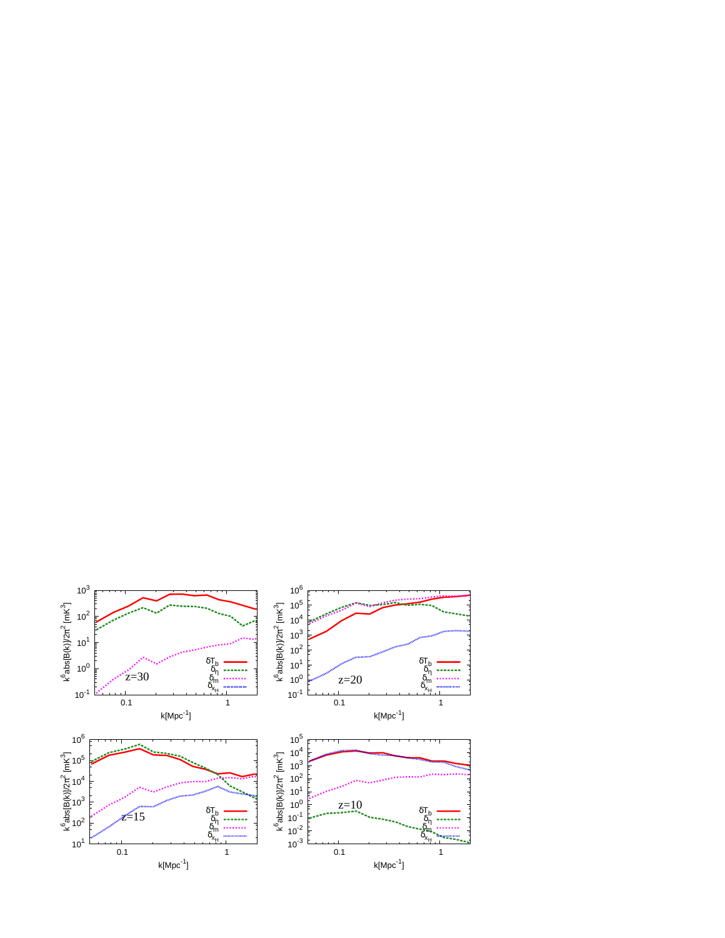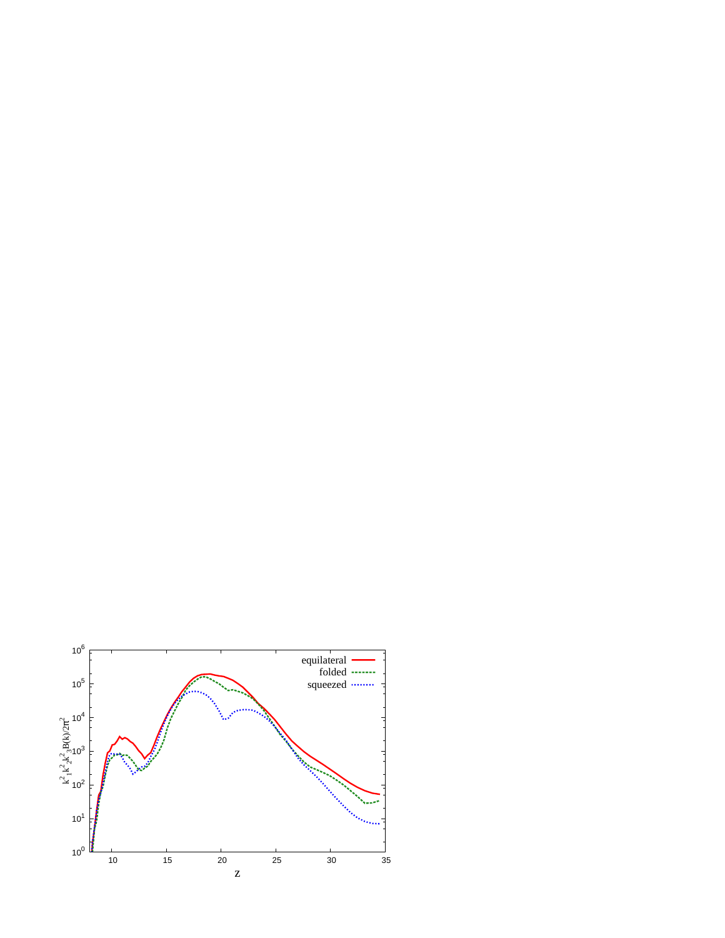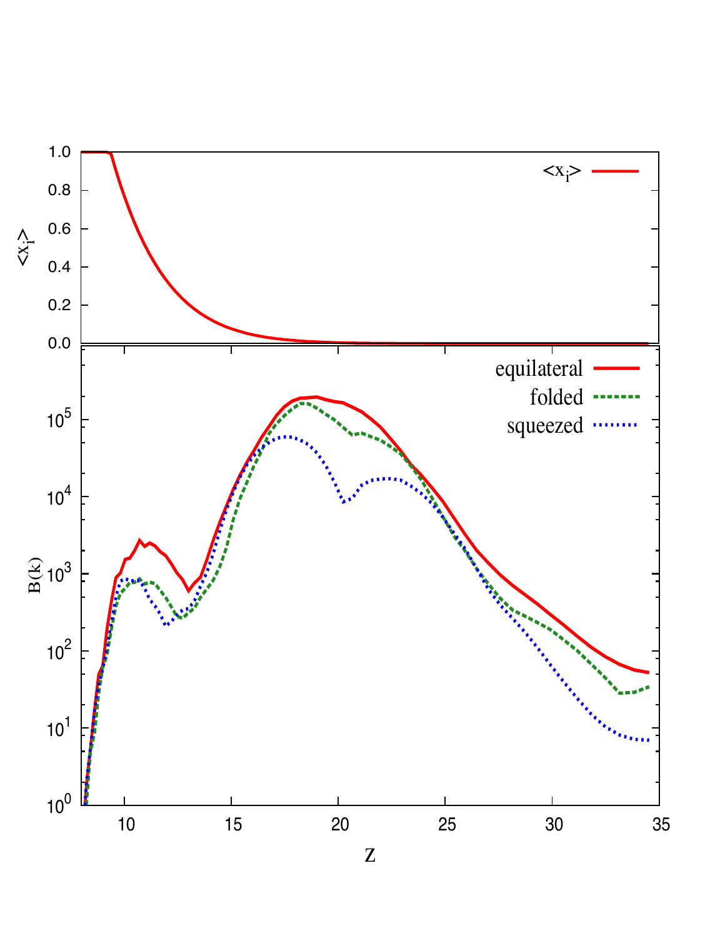